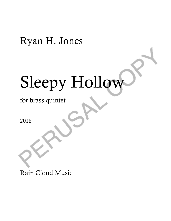## Ryan H. Jones

## Sleepy Hollow

for brass quintet

2018

Rain Cloud Music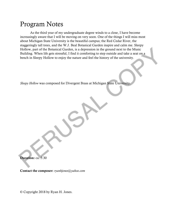## Program Notes

As the third year of my undergraduate degree winds to a close, I have become increasingly aware that I will be moving on very soon. One of the things I will miss most about Michigan State University is the beautiful campus; the Red Cedar River, the staggeringly tall trees, and the W.J. Beal Botanical Garden inspire and calm me. Sleepy Hollow, part of the Botanical Garden, is a depression in the ground next to the Music Building. When life gets stressful, I find it comforting to step outside and take a seat on a bench in Sleepy Hollow to enjoy the nature and feel the history of the university.

*Sleepy Hollow* was composed for Divergent Brass at Michigan State University.

Duration: ca. 5:30

Contact the composer: *ryanhjones@yahoo.com*

© Copyright 2018 by Ryan H. Jones.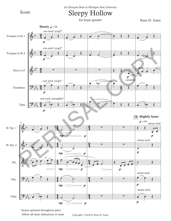*for Divergent Brass at Michigan State University*

Score

Sleepy Hollow

for brass quintet

Ryan H. Jones



\*mutes optional throughout piece follow all mute indications or none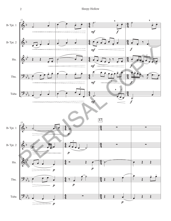

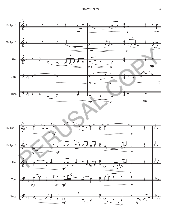

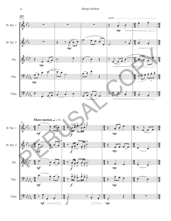



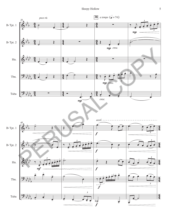

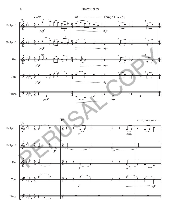

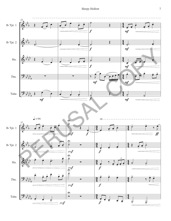

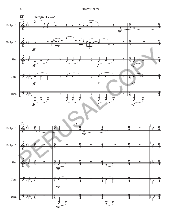

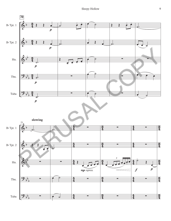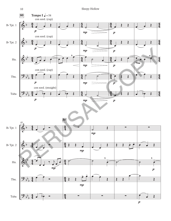

 $\boldsymbol{p}$